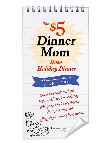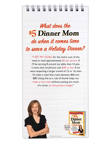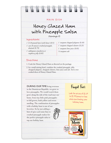| Honey Glazed Ham<br>with Pineapple Salsa                                    |               |                                                                                                     |  |  |  |  |
|-----------------------------------------------------------------------------|---------------|-----------------------------------------------------------------------------------------------------|--|--|--|--|
|                                                                             |               |                                                                                                     |  |  |  |  |
|                                                                             | (Servings: 8) |                                                                                                     |  |  |  |  |
| Ingredients                                                                 |               |                                                                                                     |  |  |  |  |
| $18-10$ pound ham (with bone) $(15)$                                        |               | 1 teaspoon chopped jalapeno (\$.49)                                                                 |  |  |  |  |
| 1 can (8 ounces) crushed pineapple,<br>drained (\$.79)                      |               | 1 teaspoon chopped cilantro (\$.25)<br>1 teaspoon lime juice (\$.05)                                |  |  |  |  |
| 1 tablespoon strawberry or<br>raspberry jelly (\$.05)                       |               | 1/4 teaspoon salt                                                                                   |  |  |  |  |
| Directions                                                                  |               |                                                                                                     |  |  |  |  |
| 1. Cook the Honey Glazed Ham as directed on the package.                    |               |                                                                                                     |  |  |  |  |
|                                                                             |               |                                                                                                     |  |  |  |  |
|                                                                             |               |                                                                                                     |  |  |  |  |
| <b>DURING OUR TIME</b> living overseas                                      |               |                                                                                                     |  |  |  |  |
| in the Dominican Republic, we grew to                                       |               |                                                                                                     |  |  |  |  |
| love pineapples. We would watch them                                        |               |                                                                                                     |  |  |  |  |
| grow along the side of the road near our                                    |               |                                                                                                     |  |  |  |  |
| home, from tiny little pink pineapples                                      |               | <u>trugal</u> tact:<br>Look for prices of \$1.69<br>to \$1.99/pound or less<br>when purchasing your |  |  |  |  |
| to full grown, both yellow and sweet                                        |               |                                                                                                     |  |  |  |  |
| smelling. The combination of pineapples<br>with a holiday ham is one of our |               |                                                                                                     |  |  |  |  |
| favorites. So by just adding a                                              |               |                                                                                                     |  |  |  |  |
| hint of spice and some lime to                                              |               | holiday ham.                                                                                        |  |  |  |  |
| crushed pineapple makes for                                                 |               | Feed Your Family for \$5 or Less                                                                    |  |  |  |  |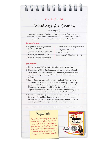### ON THE SIDE

# Potatoes Au Gratin

(Servings: 8)

Serving Potatoes Au Gratin at the holiday meal is a long time family tradition. I enjoy making them from scratch. And I enjoy having them "as is" for leftovers, or turning them into cheesy mashed potatoes.

#### Ingredients

- *6 large Russet potatoes, peeled and thinly sliced (\$.80)*
- *1 yellow onion, thinly sliced (\$.20)*
- *1 teaspoon garlic powder (\$.05)*
- *1 teaspoon each of salt and pepper*

## Directions

- 1. Preheat oven to 350˚. Grease a 9x13-inch glass baking dish.
- 2. Place a layer of thinly sliced potatoes, followed by a layer of thinly sliced onions, and finally topped with another layer of thinly sliced potatoes in the glass baking dish. Sprinkle with garlic powder, salt and pepper.
- 3. In a medium saucepan, melt the butter and quickly whisk in the flour to form a paste. Pour the milk into the saucepan, whisking as you pour. Whisk until butter/flour paste dissolves into the milk. Heat the sauce over medium-high heat for 4 to 5 minutes, until it begins to bubble and thicken. Once thickened and bubbling, pour the sauce over the potatoes and onions in the glass baking dish.
- 4. Sprinkle shredded sharp cheddar cheese over the potatoes and sauce. Cover with foil and bake in the preheated oven for 35 minutes. Remove foil and return to the oven and bake for another 15 to 20 minutes, or until cheese is golden on top and sauce is bubbly.

...........................................................................................

## Frugal Fact:

Purchase a larger bag of shredded cheese when on sale and stash it in your freezer. If you can't find a good sale price on shredded cheese, check to see if a block of cheese is cheaper than a bag of shredded cheese, and then shred it yourself.



*4 tablespoons butter or margarine (\$.40) 4 tablespoons flour (\$.05) 4 cups milk (\$.40) 2 cups sharp cheddar cheese (\$1.50)*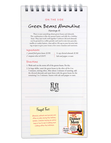### ON THE SIDE

# Green Beans Almondine

#### (Servings: 8)

There is just something about green beans and almonds. The combination is like the peanut butter and jelly for a holiday feast. They just work well together! Leftover slivered almonds can be ground in a coffee grinder and used to mix into pancake, muffin or cookie batters. Just add in 1/8 cup to your favorite baking recipes to give your treats a few extra vitamins and nutrients.

#### Ingredients

*1 pound fresh green beans (\$.99)*

*2 teaspoon olive oil (\$.07)*

*¼ cup slivered almonds (\$.50) Salt and pepper, to taste*

#### Directions

1. Wash and cut the stems off of the greens beans. Pat dry.

2. In large skillet, sauté the green beans in the olive oil for 4 to 5 minutes, stirring often. After about 2 minutes of sautéing, add the slivered almonds and sauté them with the green beans for the remaining 2 to 3 minutes. Season with salt and pepper to taste.



...........................................................................................



Almonds, walnuts and pecans are often on sale during the holiday season. Consider buying an extra bag or two to use in baking and cooking after the holidays.

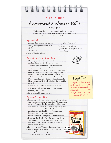### ON THE SIDE

## Homemade Wheat Rolls

#### (Servings: 8)

A holiday meal at our house is not complete without freshly baked wheat rolls, warm from the oven, with a little butter melted into them and slathered with homemade jam.

#### Ingredients

- *1 cup plus 2 tablespoons warm water 1 tablespoon vegetable or canola oil*
- *(\$.05)*
- *1 teaspoon salt*
- *3 cups white flour (\$.60)*

#### Bread Machine Directions

- 1. Place ingredients in the order listed above into bread machine. Set to the dough cycle and run.
- 2. When dough cycle finishes, preheat oven to 350˚ and grease 12 regular size muffin tins.
- 3. Place flour on your hands and remove dough from bread machine. Place dough on a lightly floured surface and knead into a large ball. Divide the ball in half, and then divide each dough ball into thirds. Divide each of these 6 balls into 12 small size rolls. Place the smallest 12 dough balls into the 12 muffin tin wells.
- 4. Let rise for 20 to 30 minutes in a warm place.
- 5. Bake in the preheated oven for 12 to 15 minutes, or until golden brown on top.
- 6. Serve warm with butter and jam.

#### By Hand Directions

- 1. In a mixing bowl, combine hot water plus 1 cup of flour. Add the honey, yeast, sugar, salt and oil. Whisk together to make a "spongy" dough. Let sit for 10-15 minutes.
- 2. Add the other 2 cups of flour to the spongy dough and stir with wooden spoon. When dough becomes thick enough, knead it by hand for 6 to 8 minutes on a floured surface or in a floured bowl.
- 3. Preheat oven to 350˚ and grease 12 muffin tins wells.
- 4. Divide the dough ball in half, then again into thirds. Then form into 12 small dough balls. Make rolls with these 12 small dough balls and place into 12 greased muffin tin wells.
- 5. Let rise for at least 30 minutes in a warm place.
- 6. Bake in the preheated oven for 12 to 15 minutes, or until golden brown on top.
- 7. Serve warm with butter and jam.

*½ cup wheat flour (\$.14) 1 tablespoon sugar (\$.05) 1 packet (or 2 ¼ teaspoon) active yeast (\$.33)* 



## Frugal Fact:

Store yeast packets or jar in your freezer for up to a year. Purchase extra during the holiday baking sales and keep it in your freezer to use up throughout the year.

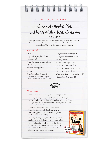### AND FOR DESSERT...

# Carrot-Apple Pie with Vanilla Ice Cream

(Servings: 8)

Adding shredded carrots into the traditional apple pie is a fantastic way to sneak in a vegetable and some extra nutrients and to bring another dimension of flavor to this favorite holiday dessert.

#### Ingredients

| <b>CRUST</b>                                   | 2                |
|------------------------------------------------|------------------|
| 2 cups all-purpose flour (\$.40)               | $\overline{2}$ i |
| 1 teaspoon salt                                | $\frac{1}{4}$    |
| $\frac{2}{3}$ cup shortening or butter (\$.60) | $\frac{1}{2}$    |
| 6-8 tablespoons cold water                     | $\frac{1}{2}$    |
| Flour for dusting $(\$.05)$                    | $\frac{1}{2}$    |
| <b>FILLING</b>                                 | $\frac{1}{2}$    |
| 6 medium (about 2 pounds)                      | 6 i              |
| Macintosh or Jonathon apples,                  | Va               |

*peeled and thinly sliced (\$1.76)*

| 2 cups shredded carrots (\$.20)         |
|-----------------------------------------|
| 2 teaspoon lemon juice (\$.10)          |
| $\frac{1}{4}$ cup flour $(\$.05)$       |
| $\frac{1}{2}$ cup brown sugar (\$.10)   |
| $\frac{1}{2}$ teaspoon cinnamon (\$.02) |
| 1/2 teaspoon ground cloves (\$.05)      |
| $\frac{1}{2}$ teaspoon nutmeg (\$.05)   |
| 6 teaspoons butter or margarine (\$.60) |
| Vanilla bean ice cream (\$3)            |



#### Directions

- 1. Preheat oven to 350˚ and grease a 9 inch pie plate.
- 2. In a large mixing bowl, whisk flour and salt. Using a pastry blender, cut the shortening or butter into the flour. Using a fork, stir in the cold water 1 tablespoon at a time, until dough ball forms.
- 3. Divide the dough ball into 2 equal halves. Place the 2 dough balls in plastic wrap or ziplock baggies and put into the refrigerator while you make the filling.
- 4. In a large mixing bowl, toss the thinly sliced apples and shredded carrots with lemon juice.
- 5. In a small mixing bowl, combine the flour, brown sugar, cinnamon, cloves and nutmeg. Stir together. Pour over the apples and shredded carrots and mix together.

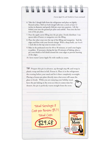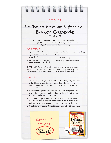|                                                                                                                                                      | <b>LEFTOVERS</b><br>Leftover Ham and Broccoli<br>Brunch Casserole                                                                                                                                                                                                                     |
|------------------------------------------------------------------------------------------------------------------------------------------------------|---------------------------------------------------------------------------------------------------------------------------------------------------------------------------------------------------------------------------------------------------------------------------------------|
|                                                                                                                                                      | (Servings: 8)                                                                                                                                                                                                                                                                         |
| Ingredients                                                                                                                                          | Before you put away that ham, dice up a few slices and add it<br>to this great brunch casserole. Make this as you're cleaning up<br>and you'll thank yourself the next morning!                                                                                                       |
| 2 cups diced leftover ham<br>2 cups fresh or frozen broccoli<br>florets $($.50)$<br>6 slices whole wheat sandwich<br>bread, torn into pieces (\$.30) | 1 cup shredded sharp cheddar cheese $(\$.75)$<br>10 eggs $(\$1)$<br>$1\frac{1}{2}$ cups milk (\$.15)<br>1 teaspoon of each salt and pepper,                                                                                                                                           |
| Use a combination of leftover rolls and sandwich bread if necessary.                                                                                 | <b>OPTION:</b> Use leftover wheat rolls in place of the whole wheat sandwich<br>bread. The torn bread pieces should cover the bottom of the baking dish.                                                                                                                              |
| Directions<br>cheddar cheese.                                                                                                                        | 1. Grease a 9x13-inch glass baking dish. To the baking dish, add 2 cups<br>of diced leftover ham, 2 cups of fresh or frozen broccoli florets, 6<br>slices of whole wheat bread (torn into pieces) and 1 cup shredded                                                                  |
| with plastic and refrigerate overnight.                                                                                                              | 2. In a large mixing bowl, whisk the eggs, milk, salt and pepper. Pour<br>over the ham, broccoli, bread and cheese in the baking dish. Cover                                                                                                                                          |
|                                                                                                                                                      | 3. In the morning, preheat oven to 350°. Remove the plastic wrap and<br>bake the casserole in the preheated oven for 40 to 50 minutes, or<br>until begins to golden on top and the eggs have cooked through.<br>4. Serve Leftover Ham and Broccoli Brunch Casserole with fresh fruit. |
| Cost for the<br>casserole:                                                                                                                           | Feed Your Family for \$5 or Less<br><b>ON-SALE</b><br>g Meals That Are<br>Easy on the Budget and<br>JANUARY<br>a Snap to Prepare<br>2010<br><b>Erin Chas</b>                                                                                                                          |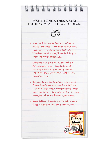## WANT SOME OTHER GREAT HOLIDAY MEAL LEFTOVER IDEAS?



• Turn the Potatoes Au Gratin into Cheesy Mashed Potatoes. Warm them up and then mash with a potato masher. Add milk, 1 to 2 tablespoons at a time, if needed, to give them the proper consistency.

• Save the ham bone and use to make a delicious post-holiday soup. Make a split pea soup, a bean soup, or use up some of the Potatoes Au Gratin and make a ham and potato soup.

• Not going to use the ham bone right away? Freeze it as is and use to make a delicious soup at a later time. Simply place the frozen ham bone in the refrigerator and let it thaw overnight. Then use for making your soup.

• Serve leftover ham slices with Swiss cheese slices in a tortilla with some Dijon mustard.

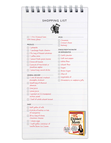| <b>SHOPPING LIST</b>                                 |                                          |  |  |  |
|------------------------------------------------------|------------------------------------------|--|--|--|
|                                                      |                                          |  |  |  |
| with honey glaze                                     | Cinnamon                                 |  |  |  |
|                                                      | Ground cloves                            |  |  |  |
| PRODUCE                                              | Nutmeg                                   |  |  |  |
| $\Box$   jalapeño                                    | STAPLES FROM THE PANTRY                  |  |  |  |
| I package fresh cilantro                             | OR REFRIGERATOR                          |  |  |  |
| 5 lb. bag of Russet potatoes                         | Garlic powder                            |  |  |  |
| $\Box$ I yellow onion                                | Salt and pepper                          |  |  |  |
| I I pound fresh green beans                          | $\Box$ White flour                       |  |  |  |
| 2 broccoli heads                                     | $\Box$ Wheat flour                       |  |  |  |
| 2 pounds of Macintosh or<br>Jonathan apples          |                                          |  |  |  |
| $\Box$ I pound bag carrot sticks                     | Sugar                                    |  |  |  |
|                                                      | Brown Sugar                              |  |  |  |
| <b>GENERAL GROCERY ···········</b><br>.              | $\Box$ Olive oil                         |  |  |  |
| Can (8 ounces) crushed                               | $\Box$ Vegetable oil                     |  |  |  |
| pineapple, drained                                   | Strawberry or raspberry jelly            |  |  |  |
| Small bag of slivered                                |                                          |  |  |  |
| almonds                                              |                                          |  |  |  |
| Lime juice                                           |                                          |  |  |  |
| Lemonjuice                                           |                                          |  |  |  |
| $\Box$ I packet (or $2/4$ teaspoons)<br>active yeast |                                          |  |  |  |
| I loaf of whole wheat bread                          |                                          |  |  |  |
|                                                      |                                          |  |  |  |
| DAIRY                                                |                                          |  |  |  |
| $\Box$ Half gallon of milk                           |                                          |  |  |  |
| $\Box$ 4 sticks of butter or tub                     |                                          |  |  |  |
| of margarine                                         | Feed Your Family for 05 or Less          |  |  |  |
| 24 oz. bag of sharp                                  | The <b>C</b>                             |  |  |  |
| cheddar cheese                                       | <b>Dinner</b>                            |  |  |  |
| $\Box$   dozen eggs                                  | <b>Anm</b>                               |  |  |  |
| I half gallon container of<br>П                      |                                          |  |  |  |
| Vanilla Bean Ice Cream                               | 200 Recipes for<br>Quick, Delicious, and |  |  |  |